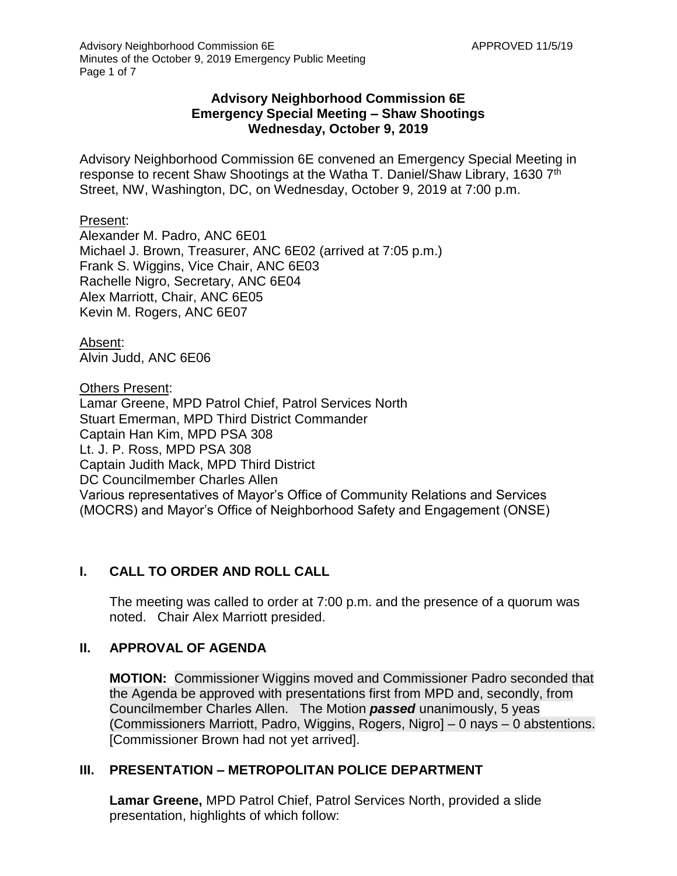### **Advisory Neighborhood Commission 6E Emergency Special Meeting – Shaw Shootings Wednesday, October 9, 2019**

Advisory Neighborhood Commission 6E convened an Emergency Special Meeting in response to recent Shaw Shootings at the Watha T. Daniel/Shaw Library, 1630 7<sup>th</sup> Street, NW, Washington, DC, on Wednesday, October 9, 2019 at 7:00 p.m.

#### Present:

Alexander M. Padro, ANC 6E01 Michael J. Brown, Treasurer, ANC 6E02 (arrived at 7:05 p.m.) Frank S. Wiggins, Vice Chair, ANC 6E03 Rachelle Nigro, Secretary, ANC 6E04 Alex Marriott, Chair, ANC 6E05 Kevin M. Rogers, ANC 6E07

Absent: Alvin Judd, ANC 6E06

Others Present:

Lamar Greene, MPD Patrol Chief, Patrol Services North Stuart Emerman, MPD Third District Commander Captain Han Kim, MPD PSA 308 Lt. J. P. Ross, MPD PSA 308 Captain Judith Mack, MPD Third District DC Councilmember Charles Allen Various representatives of Mayor's Office of Community Relations and Services (MOCRS) and Mayor's Office of Neighborhood Safety and Engagement (ONSE)

# **I. CALL TO ORDER AND ROLL CALL**

The meeting was called to order at 7:00 p.m. and the presence of a quorum was noted. Chair Alex Marriott presided.

#### **II. APPROVAL OF AGENDA**

**MOTION:** Commissioner Wiggins moved and Commissioner Padro seconded that the Agenda be approved with presentations first from MPD and, secondly, from Councilmember Charles Allen. The Motion *passed* unanimously, 5 yeas (Commissioners Marriott, Padro, Wiggins, Rogers, Nigro] – 0 nays – 0 abstentions. [Commissioner Brown had not yet arrived].

#### **III. PRESENTATION – METROPOLITAN POLICE DEPARTMENT**

**Lamar Greene,** MPD Patrol Chief, Patrol Services North, provided a slide presentation, highlights of which follow: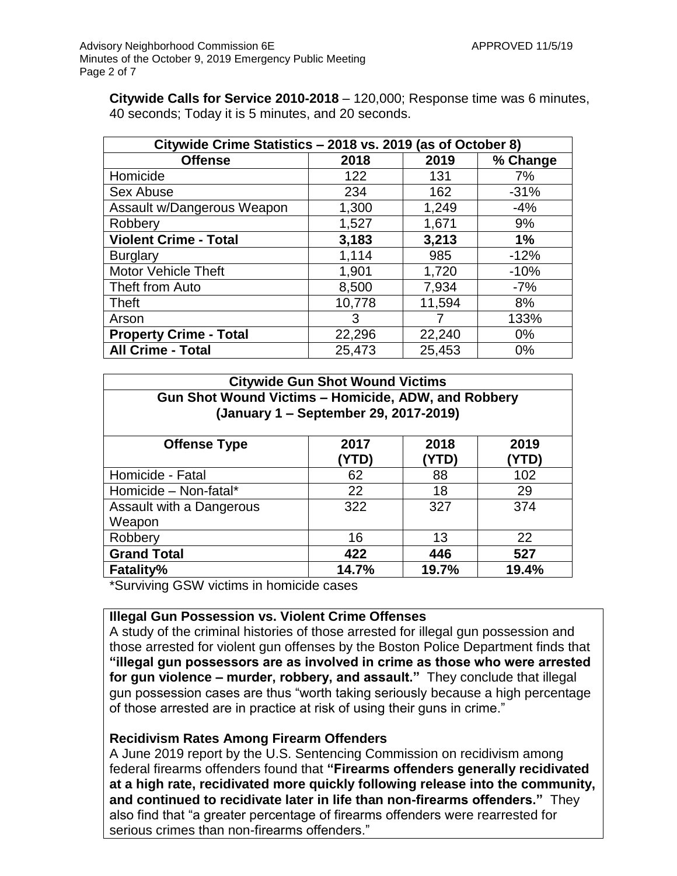**Citywide Calls for Service 2010-2018** – 120,000; Response time was 6 minutes, 40 seconds; Today it is 5 minutes, and 20 seconds.

| Citywide Crime Statistics - 2018 vs. 2019 (as of October 8) |        |        |          |  |  |
|-------------------------------------------------------------|--------|--------|----------|--|--|
| <b>Offense</b>                                              | 2018   | 2019   | % Change |  |  |
| Homicide                                                    | 122    | 131    | 7%       |  |  |
| Sex Abuse                                                   | 234    | 162    | $-31%$   |  |  |
| Assault w/Dangerous Weapon                                  | 1,300  | 1,249  | $-4%$    |  |  |
| Robbery                                                     | 1,527  | 1,671  | 9%       |  |  |
| <b>Violent Crime - Total</b>                                | 3,183  | 3,213  | 1%       |  |  |
| <b>Burglary</b>                                             | 1,114  | 985    | $-12%$   |  |  |
| <b>Motor Vehicle Theft</b>                                  | 1,901  | 1,720  | $-10%$   |  |  |
| Theft from Auto                                             | 8,500  | 7,934  | $-7%$    |  |  |
| <b>Theft</b>                                                | 10,778 | 11,594 | 8%       |  |  |
| Arson                                                       | 3      |        | 133%     |  |  |
| <b>Property Crime - Total</b>                               | 22,296 | 22,240 | $0\%$    |  |  |
| <b>All Crime - Total</b>                                    | 25,473 | 25,453 | $0\%$    |  |  |

| <b>Citywide Gun Shot Wound Victims</b><br><b>Gun Shot Wound Victims - Homicide, ADW, and Robbery</b><br>(January 1 – September 29, 2017-2019) |       |       |       |  |
|-----------------------------------------------------------------------------------------------------------------------------------------------|-------|-------|-------|--|
|                                                                                                                                               |       |       |       |  |
| Homicide - Fatal                                                                                                                              | 62    | 88    | 102   |  |
| Homicide - Non-fatal*                                                                                                                         | 22    | 18    | 29    |  |
| Assault with a Dangerous<br>Weapon                                                                                                            | 322   | 327   | 374   |  |
| Robbery                                                                                                                                       | 16    | 13    | 22    |  |
| <b>Grand Total</b>                                                                                                                            | 422   | 446   | 527   |  |
| <b>Fatality%</b>                                                                                                                              | 14.7% | 19.7% | 19.4% |  |

\*Surviving GSW victims in homicide cases

#### **Illegal Gun Possession vs. Violent Crime Offenses**

A study of the criminal histories of those arrested for illegal gun possession and those arrested for violent gun offenses by the Boston Police Department finds that **"illegal gun possessors are as involved in crime as those who were arrested for gun violence – murder, robbery, and assault."** They conclude that illegal gun possession cases are thus "worth taking seriously because a high percentage of those arrested are in practice at risk of using their guns in crime."

#### **Recidivism Rates Among Firearm Offenders**

A June 2019 report by the U.S. Sentencing Commission on recidivism among federal firearms offenders found that **"Firearms offenders generally recidivated at a high rate, recidivated more quickly following release into the community, and continued to recidivate later in life than non-firearms offenders."** They also find that "a greater percentage of firearms offenders were rearrested for serious crimes than non-firearms offenders."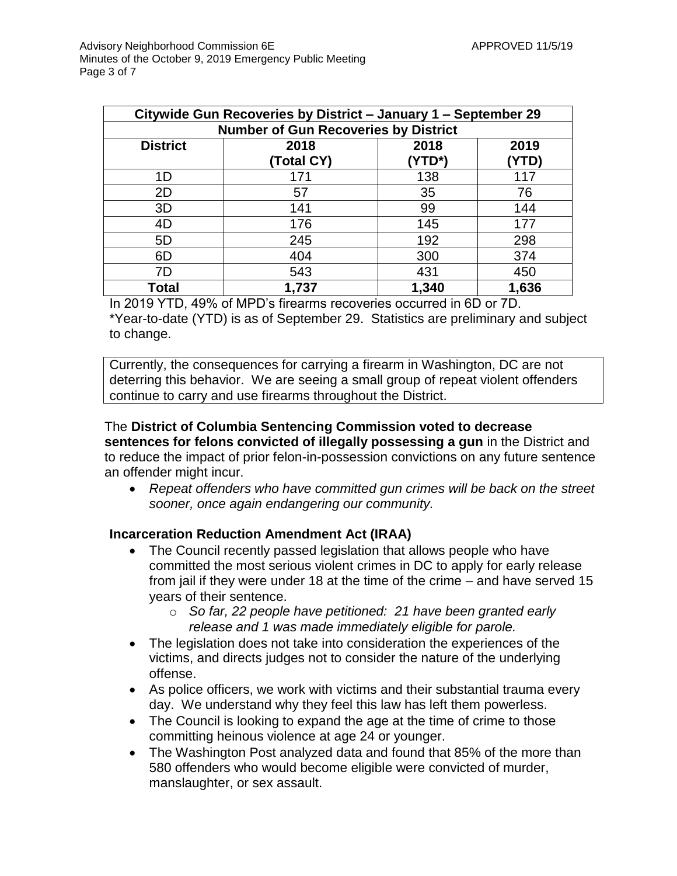| Citywide Gun Recoveries by District - January 1 - September 29 |            |        |       |  |  |
|----------------------------------------------------------------|------------|--------|-------|--|--|
| <b>Number of Gun Recoveries by District</b>                    |            |        |       |  |  |
| <b>District</b>                                                | 2018       | 2018   | 2019  |  |  |
|                                                                | (Total CY) | 'YTD*) | YTD)  |  |  |
| 1D                                                             | 171        | 138    | 117   |  |  |
| 2D                                                             | 57         | 35     | 76    |  |  |
| 3D                                                             | 141        | 99     | 144   |  |  |
| 4D                                                             | 176        | 145    | 177   |  |  |
| 5D                                                             | 245        | 192    | 298   |  |  |
| 6D                                                             | 404        | 300    | 374   |  |  |
| 7D                                                             | 543        | 431    | 450   |  |  |
| Total                                                          | 1,737      | 1,340  | 1,636 |  |  |

In 2019 YTD, 49% of MPD's firearms recoveries occurred in 6D or 7D. \*Year-to-date (YTD) is as of September 29. Statistics are preliminary and subject to change.

Currently, the consequences for carrying a firearm in Washington, DC are not deterring this behavior. We are seeing a small group of repeat violent offenders continue to carry and use firearms throughout the District.

#### The **District of Columbia Sentencing Commission voted to decrease sentences for felons convicted of illegally possessing a gun** in the District and to reduce the impact of prior felon-in-possession convictions on any future sentence an offender might incur.

 *Repeat offenders who have committed gun crimes will be back on the street sooner, once again endangering our community.*

#### **Incarceration Reduction Amendment Act (IRAA)**

- The Council recently passed legislation that allows people who have committed the most serious violent crimes in DC to apply for early release from jail if they were under 18 at the time of the crime – and have served 15 years of their sentence.
	- o *So far, 22 people have petitioned: 21 have been granted early release and 1 was made immediately eligible for parole.*
- The legislation does not take into consideration the experiences of the victims, and directs judges not to consider the nature of the underlying offense.
- As police officers, we work with victims and their substantial trauma every day. We understand why they feel this law has left them powerless.
- The Council is looking to expand the age at the time of crime to those committing heinous violence at age 24 or younger.
- The Washington Post analyzed data and found that 85% of the more than 580 offenders who would become eligible were convicted of murder, manslaughter, or sex assault.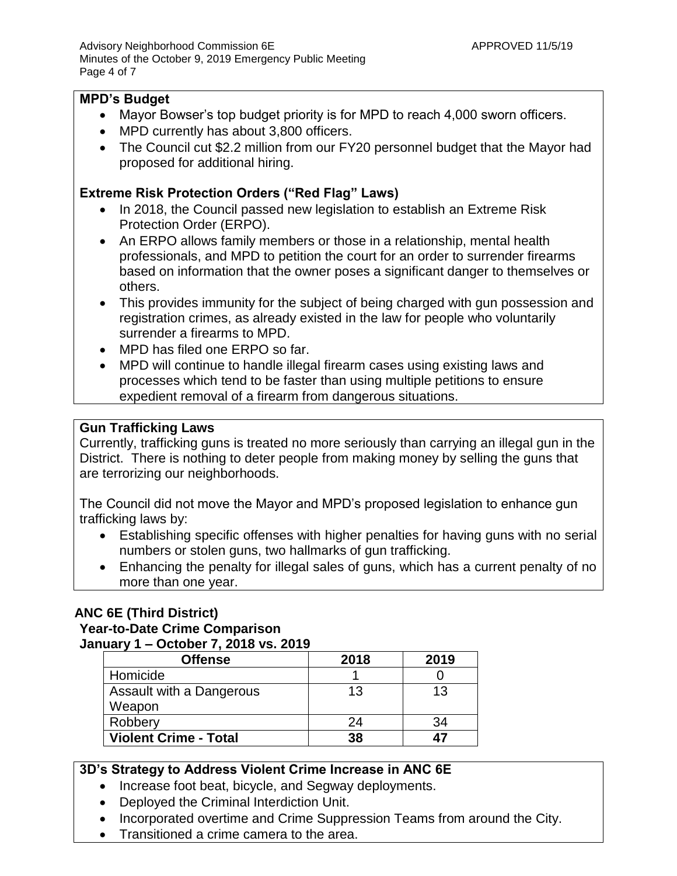#### **MPD's Budget**

- Mayor Bowser's top budget priority is for MPD to reach 4,000 sworn officers.
- MPD currently has about 3,800 officers.
- The Council cut \$2.2 million from our FY20 personnel budget that the Mayor had proposed for additional hiring.

#### **Extreme Risk Protection Orders ("Red Flag" Laws)**

- In 2018, the Council passed new legislation to establish an Extreme Risk Protection Order (ERPO).
- An ERPO allows family members or those in a relationship, mental health professionals, and MPD to petition the court for an order to surrender firearms based on information that the owner poses a significant danger to themselves or others.
- This provides immunity for the subject of being charged with gun possession and registration crimes, as already existed in the law for people who voluntarily surrender a firearms to MPD.
- MPD has filed one ERPO so far.
- MPD will continue to handle illegal firearm cases using existing laws and processes which tend to be faster than using multiple petitions to ensure expedient removal of a firearm from dangerous situations.

# **Gun Trafficking Laws**

Currently, trafficking guns is treated no more seriously than carrying an illegal gun in the District. There is nothing to deter people from making money by selling the guns that are terrorizing our neighborhoods.

The Council did not move the Mayor and MPD's proposed legislation to enhance gun trafficking laws by:

- Establishing specific offenses with higher penalties for having guns with no serial numbers or stolen guns, two hallmarks of gun trafficking.
- Enhancing the penalty for illegal sales of guns, which has a current penalty of no more than one year.

# **ANC 6E (Third District)**

#### **Year-to-Date Crime Comparison**

**January 1 – October 7, 2018 vs. 2019**

| <b>Offense</b>               | 2018 | 2019 |
|------------------------------|------|------|
| Homicide                     |      |      |
| Assault with a Dangerous     | 13   | 13   |
| Weapon                       |      |      |
| Robbery                      | 24   | 34   |
| <b>Violent Crime - Total</b> | 38   | 47   |

# **3D's Strategy to Address Violent Crime Increase in ANC 6E**

- Increase foot beat, bicycle, and Segway deployments.
- Deployed the Criminal Interdiction Unit.
- Incorporated overtime and Crime Suppression Teams from around the City.
- Transitioned a crime camera to the area.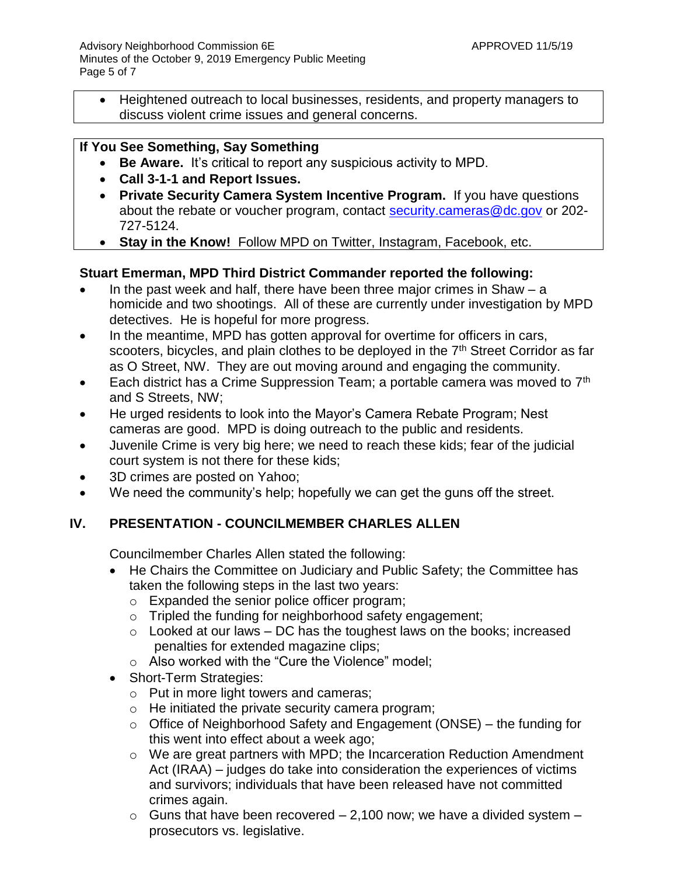Heightened outreach to local businesses, residents, and property managers to discuss violent crime issues and general concerns.

# **If You See Something, Say Something**

- **Be Aware.** It's critical to report any suspicious activity to MPD.
- **Call 3-1-1 and Report Issues.**
- **Private Security Camera System Incentive Program.** If you have questions about the rebate or voucher program, contact [security.cameras@dc.gov](mailto:security.cameras@dc.gov) or 202-727-5124.
- **Stay in the Know!** Follow MPD on Twitter, Instagram, Facebook, etc.

### **Stuart Emerman, MPD Third District Commander reported the following:**

- In the past week and half, there have been three major crimes in Shaw  $-$  a homicide and two shootings. All of these are currently under investigation by MPD detectives. He is hopeful for more progress.
- In the meantime, MPD has gotten approval for overtime for officers in cars, scooters, bicycles, and plain clothes to be deployed in the 7<sup>th</sup> Street Corridor as far as O Street, NW. They are out moving around and engaging the community.
- Each district has a Crime Suppression Team; a portable camera was moved to  $7<sup>th</sup>$ and S Streets, NW;
- He urged residents to look into the Mayor's Camera Rebate Program; Nest cameras are good. MPD is doing outreach to the public and residents.
- Juvenile Crime is very big here; we need to reach these kids; fear of the judicial court system is not there for these kids;
- 3D crimes are posted on Yahoo;
- We need the community's help; hopefully we can get the guns off the street.

# **IV. PRESENTATION - COUNCILMEMBER CHARLES ALLEN**

Councilmember Charles Allen stated the following:

- He Chairs the Committee on Judiciary and Public Safety; the Committee has taken the following steps in the last two years:
	- o Expanded the senior police officer program;
	- o Tripled the funding for neighborhood safety engagement;
	- $\circ$  Looked at our laws DC has the toughest laws on the books; increased penalties for extended magazine clips;
	- o Also worked with the "Cure the Violence" model;
- Short-Term Strategies:
	- o Put in more light towers and cameras;
	- $\circ$  He initiated the private security camera program;
	- $\circ$  Office of Neighborhood Safety and Engagement (ONSE) the funding for this went into effect about a week ago;
	- o We are great partners with MPD; the Incarceration Reduction Amendment Act (IRAA) – judges do take into consideration the experiences of victims and survivors; individuals that have been released have not committed crimes again.
	- $\circ$  Guns that have been recovered 2,100 now; we have a divided system prosecutors vs. legislative.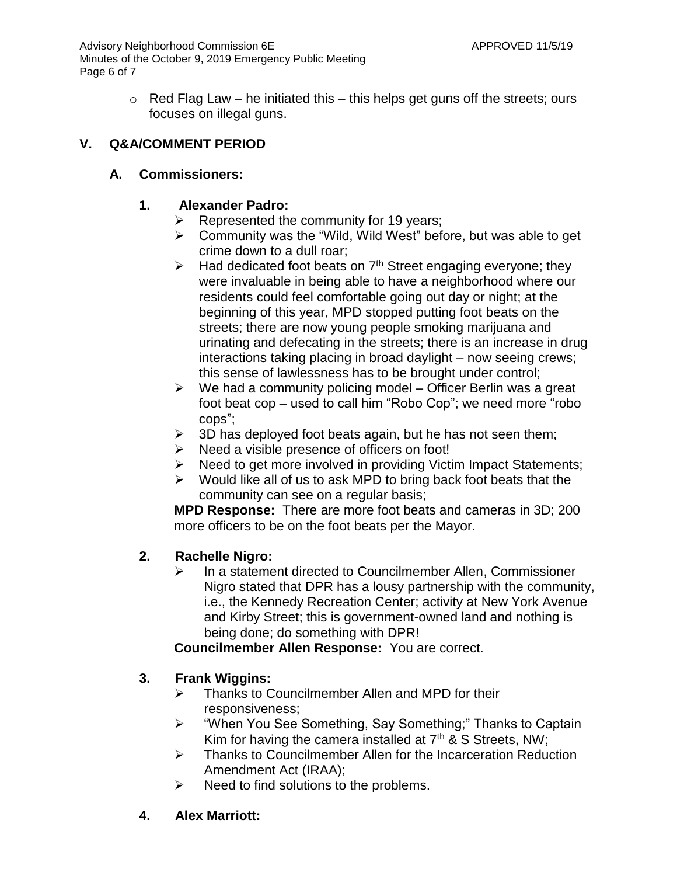Advisory Neighborhood Commission 6E APPROVED 11/5/19 Minutes of the October 9, 2019 Emergency Public Meeting Page 6 of 7

> $\circ$  Red Flag Law – he initiated this – this helps get guns off the streets; ours focuses on illegal guns.

# **V. Q&A/COMMENT PERIOD**

# **A. Commissioners:**

# **1. Alexander Padro:**

- $\triangleright$  Represented the community for 19 years;
- $\triangleright$  Community was the "Wild, Wild West" before, but was able to get crime down to a dull roar;
- $\triangleright$  Had dedicated foot beats on  $7<sup>th</sup>$  Street engaging everyone; they were invaluable in being able to have a neighborhood where our residents could feel comfortable going out day or night; at the beginning of this year, MPD stopped putting foot beats on the streets; there are now young people smoking marijuana and urinating and defecating in the streets; there is an increase in drug interactions taking placing in broad daylight – now seeing crews; this sense of lawlessness has to be brought under control;
- $\triangleright$  We had a community policing model Officer Berlin was a great foot beat cop – used to call him "Robo Cop"; we need more "robo cops";
- $\geq$  3D has deployed foot beats again, but he has not seen them;
- $\triangleright$  Need a visible presence of officers on foot!
- $\triangleright$  Need to get more involved in providing Victim Impact Statements;
- $\triangleright$  Would like all of us to ask MPD to bring back foot beats that the community can see on a regular basis;

**MPD Response:** There are more foot beats and cameras in 3D; 200 more officers to be on the foot beats per the Mayor.

# **2. Rachelle Nigro:**

 $\triangleright$  In a statement directed to Councilmember Allen, Commissioner Nigro stated that DPR has a lousy partnership with the community, i.e., the Kennedy Recreation Center; activity at New York Avenue and Kirby Street; this is government-owned land and nothing is being done; do something with DPR!

**Councilmember Allen Response:** You are correct.

# **3. Frank Wiggins:**

- $\triangleright$  Thanks to Councilmember Allen and MPD for their responsiveness;
- "When You See Something, Say Something;" Thanks to Captain Kim for having the camera installed at  $7<sup>th</sup>$  & S Streets, NW;
- **EXEC** Thanks to Councilmember Allen for the Incarceration Reduction Amendment Act (IRAA);
- $\triangleright$  Need to find solutions to the problems.
- **4. Alex Marriott:**